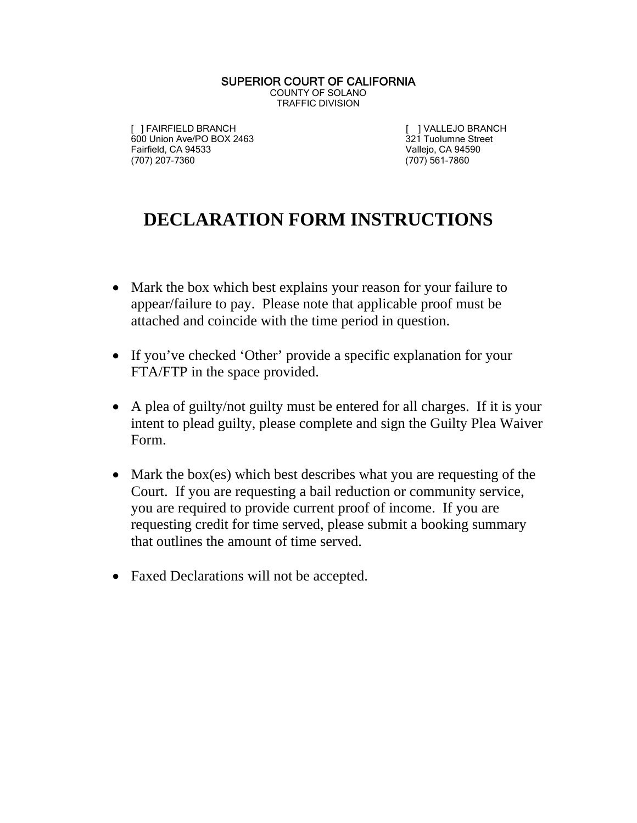## SUPERIOR COURT OF CALIFORNIA COUNTY OF SOLANO TRAFFIC DIVISION

[ ] FAIRFIELD BRANCH [ ] VALLEJO BRANCH 600 Union Ave/PO BOX 2463 321 Tuolumne Street<br>
Fairfield, CA 94533 321 Tuolumne Street<br>
Vallejo, CA 94590 (707) 207-7360

Vallejo, CA 94590<br>(707) 561-7860

## **DECLARATION FORM INSTRUCTIONS**

- Mark the box which best explains your reason for your failure to appear/failure to pay. Please note that applicable proof must be attached and coincide with the time period in question.
- If you've checked 'Other' provide a specific explanation for your FTA/FTP in the space provided.
- A plea of guilty/not guilty must be entered for all charges. If it is your intent to plead guilty, please complete and sign the Guilty Plea Waiver Form.
- Mark the box(es) which best describes what you are requesting of the Court. If you are requesting a bail reduction or community service, you are required to provide current proof of income. If you are requesting credit for time served, please submit a booking summary that outlines the amount of time served.
- Faxed Declarations will not be accepted.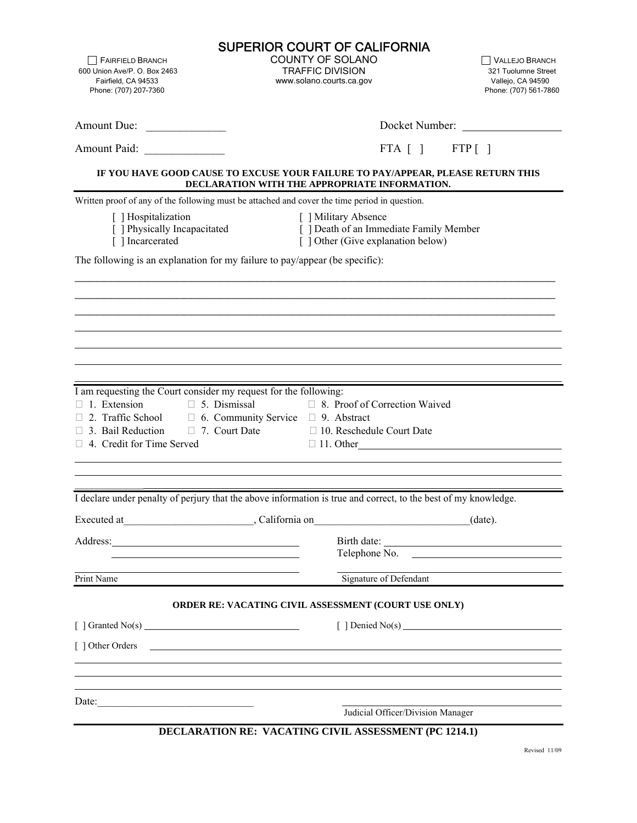|                                                                                                                                                                                                                                                                         | <b>SUPERIOR COURT OF CALIFORNIA</b>                                                                                              |                                                                               |                                                                                     |  |
|-------------------------------------------------------------------------------------------------------------------------------------------------------------------------------------------------------------------------------------------------------------------------|----------------------------------------------------------------------------------------------------------------------------------|-------------------------------------------------------------------------------|-------------------------------------------------------------------------------------|--|
| FAIRFIELD BRANCH<br>600 Union Ave/P. O. Box 2463<br>Fairfield, CA 94533<br>Phone: (707) 207-7360                                                                                                                                                                        | <b>COUNTY OF SOLANO</b><br><b>TRAFFIC DIVISION</b><br>www.solano.courts.ca.gov                                                   |                                                                               | VALLEJO BRANCH<br>321 Tuolumne Street<br>Vallejo, CA 94590<br>Phone: (707) 561-7860 |  |
|                                                                                                                                                                                                                                                                         |                                                                                                                                  |                                                                               |                                                                                     |  |
| Amount Due:                                                                                                                                                                                                                                                             |                                                                                                                                  |                                                                               | Docket Number:                                                                      |  |
| Amount Paid:                                                                                                                                                                                                                                                            |                                                                                                                                  |                                                                               | $FTA [ ]$ $FTP [ ]$                                                                 |  |
|                                                                                                                                                                                                                                                                         | IF YOU HAVE GOOD CAUSE TO EXCUSE YOUR FAILURE TO PAY/APPEAR, PLEASE RETURN THIS<br>DECLARATION WITH THE APPROPRIATE INFORMATION. |                                                                               |                                                                                     |  |
|                                                                                                                                                                                                                                                                         | Written proof of any of the following must be attached and cover the time period in question.                                    |                                                                               |                                                                                     |  |
| [ ] Hospitalization<br>[ ] Physically Incapacitated<br>[ ] Incarcerated                                                                                                                                                                                                 | [ ] Military Absence                                                                                                             | [ ] Death of an Immediate Family Member<br>[ ] Other (Give explanation below) |                                                                                     |  |
| The following is an explanation for my failure to pay/appear (be specific):                                                                                                                                                                                             |                                                                                                                                  |                                                                               |                                                                                     |  |
|                                                                                                                                                                                                                                                                         |                                                                                                                                  |                                                                               |                                                                                     |  |
|                                                                                                                                                                                                                                                                         |                                                                                                                                  |                                                                               |                                                                                     |  |
|                                                                                                                                                                                                                                                                         |                                                                                                                                  |                                                                               |                                                                                     |  |
|                                                                                                                                                                                                                                                                         |                                                                                                                                  |                                                                               |                                                                                     |  |
|                                                                                                                                                                                                                                                                         |                                                                                                                                  |                                                                               |                                                                                     |  |
| I am requesting the Court consider my request for the following:<br>$\Box$ 1. Extension<br>$\Box$ 5. Dismissal<br>$\Box$ 2. Traffic School $\Box$ 6. Community Service $\Box$ 9. Abstract<br>$\Box$ 3. Bail Reduction $\Box$ 7. Court Date<br>4. Credit for Time Served | □ 8. Proof of Correction Waived<br>$\Box$ 10. Reschedule Court Date<br>$\Box$ 11. Other                                          |                                                                               |                                                                                     |  |
|                                                                                                                                                                                                                                                                         | I declare under penalty of perjury that the above information is true and correct, to the best of my knowledge.                  |                                                                               |                                                                                     |  |
|                                                                                                                                                                                                                                                                         |                                                                                                                                  |                                                                               | (date).                                                                             |  |
| Address: 2008 and 2008 and 2008 and 2008 and 2008 and 2008 and 2008 and 2008 and 2008 and 2008 and 2008 and 20                                                                                                                                                          |                                                                                                                                  |                                                                               |                                                                                     |  |
|                                                                                                                                                                                                                                                                         |                                                                                                                                  |                                                                               | Telephone No.                                                                       |  |
| Print Name                                                                                                                                                                                                                                                              |                                                                                                                                  |                                                                               | Signature of Defendant                                                              |  |
|                                                                                                                                                                                                                                                                         | ORDER RE: VACATING CIVIL ASSESSMENT (COURT USE ONLY)                                                                             |                                                                               |                                                                                     |  |
|                                                                                                                                                                                                                                                                         |                                                                                                                                  |                                                                               | [ $\vert$ Denied No(s)                                                              |  |
| [ ] Other Orders                                                                                                                                                                                                                                                        |                                                                                                                                  |                                                                               |                                                                                     |  |
|                                                                                                                                                                                                                                                                         |                                                                                                                                  |                                                                               |                                                                                     |  |
|                                                                                                                                                                                                                                                                         |                                                                                                                                  |                                                                               |                                                                                     |  |
| Date:                                                                                                                                                                                                                                                                   | Judicial Officer/Division Manager                                                                                                |                                                                               |                                                                                     |  |
|                                                                                                                                                                                                                                                                         | DECLARATION RE: VACATING CIVIL ASSESSMENT (PC 1214.1)                                                                            |                                                                               |                                                                                     |  |
|                                                                                                                                                                                                                                                                         |                                                                                                                                  |                                                                               |                                                                                     |  |